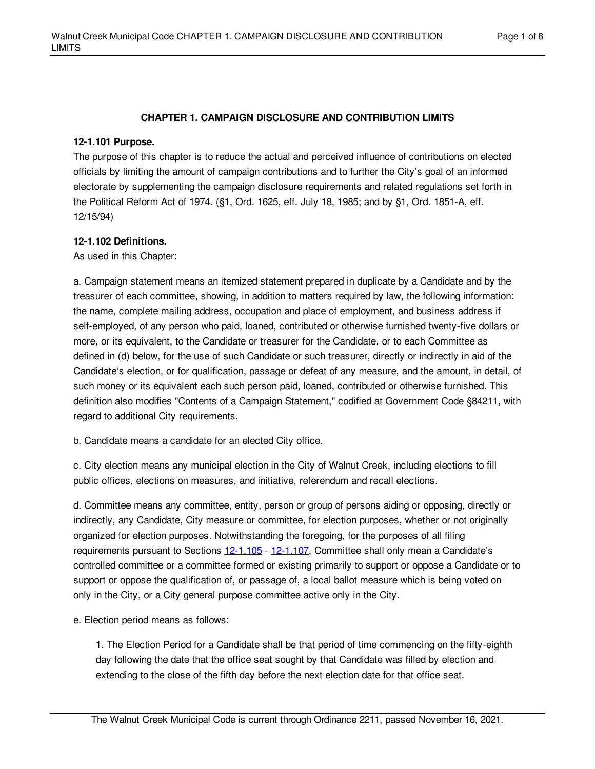## **CHAPTER 1. CAMPAIGN DISCLOSURE AND CONTRIBUTION LIMITS**

## **12-1.101 Purpose.**

The purpose of this chapter is to reduce the actual and perceived influence of contributions on elected officials by limiting the amount of campaign contributions and to further the City's goal of an informed electorate by supplementing the campaign disclosure requirements and related regulations set forth in the Political Reform Act of 1974. (§1, Ord. 1625, eff. July 18, 1985; and by §1, Ord. 1851-A, eff. 12/15/94)

## **12-1.102 Definitions.**

As used in this Chapter:

a. Campaign statement means an itemized statement prepared in duplicate by a Candidate and by the treasurer of each committee, showing, in addition to matters required by law, the following information: the name, complete mailing address, occupation and place of employment, and business address if self-employed, of any person who paid, loaned, contributed or otherwise furnished twenty-five dollars or more, or its equivalent, to the Candidate or treasurer for the Candidate, or to each Committee as defined in (d) below, for the use of such Candidate or such treasurer, directly or indirectly in aid of the Candidate's election, or for qualification, passage or defeat of any measure, and the amount, in detail, of such money or its equivalent each such person paid, loaned, contributed or otherwise furnished. This definition also modifies "Contents of a Campaign Statement," codified at Government Code §84211, with regard to additional City requirements.

b. Candidate means a candidate for an elected City office.

c. City election means any municipal election in the City of Walnut Creek, including elections to fill public offices, elections on measures, and initiative, referendum and recall elections.

d. Committee means any committee, entity, person or group of persons aiding or opposing, directly or indirectly, any Candidate, City measure or committee, for election purposes, whether or not originally organized for election purposes. Notwithstanding the foregoing, for the purposes of all filing requirements pursuant to Sections [12-1.105](#page-2-0) - [12-1.107](#page-4-0), Committee shall only mean a Candidate's controlled committee or a committee formed or existing primarily to support or oppose a Candidate or to support or oppose the qualification of, or passage of, a local ballot measure which is being voted on only in the City, or a City general purpose committee active only in the City.

e. Election period means as follows:

1. The Election Period for a Candidate shall be that period of time commencing on the fifty-eighth day following the date that the office seat sought by that Candidate was filled by election and extending to the close of the fifth day before the next election date for that office seat.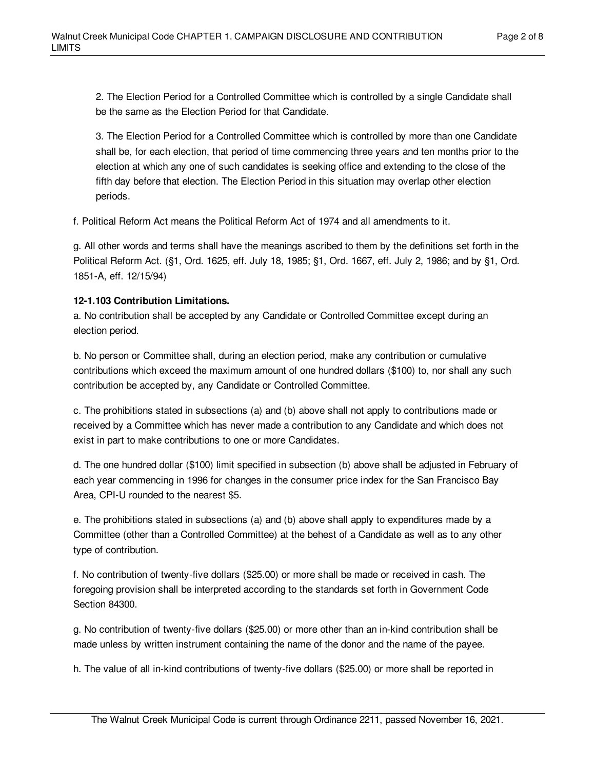2. The Election Period for a Controlled Committee which is controlled by a single Candidate shall be the same as the Election Period for that Candidate.

3. The Election Period for a Controlled Committee which is controlled by more than one Candidate shall be, for each election, that period of time commencing three years and ten months prior to the election at which any one of such candidates is seeking office and extending to the close of the fifth day before that election. The Election Period in this situation may overlap other election periods.

f. Political Reform Act means the Political Reform Act of 1974 and all amendments to it.

g. All other words and terms shall have the meanings ascribed to them by the definitions set forth in the Political Reform Act. (§1, Ord. 1625, eff. July 18, 1985; §1, Ord. 1667, eff. July 2, 1986; and by §1, Ord. 1851-A, eff. 12/15/94)

## <span id="page-1-0"></span>**12-1.103 Contribution Limitations.**

a. No contribution shall be accepted by any Candidate or Controlled Committee except during an election period.

b. No person or Committee shall, during an election period, make any contribution or cumulative contributions which exceed the maximum amount of one hundred dollars (\$100) to, nor shall any such contribution be accepted by, any Candidate or Controlled Committee.

c. The prohibitions stated in subsections (a) and (b) above shall not apply to contributions made or received by a Committee which has never made a contribution to any Candidate and which does not exist in part to make contributions to one or more Candidates.

d. The one hundred dollar (\$100) limit specified in subsection (b) above shall be adjusted in February of each year commencing in 1996 for changes in the consumer price index for the San Francisco Bay Area, CPI-U rounded to the nearest \$5.

e. The prohibitions stated in subsections (a) and (b) above shall apply to expenditures made by a Committee (other than a Controlled Committee) at the behest of a Candidate as well as to any other type of contribution.

f. No contribution of twenty-five dollars (\$25.00) or more shall be made or received in cash. The foregoing provision shall be interpreted according to the standards set forth in Government Code Section 84300.

g. No contribution of twenty-five dollars (\$25.00) or more other than an in-kind contribution shall be made unless by written instrument containing the name of the donor and the name of the payee.

h. The value of all in-kind contributions of twenty-five dollars (\$25.00) or more shall be reported in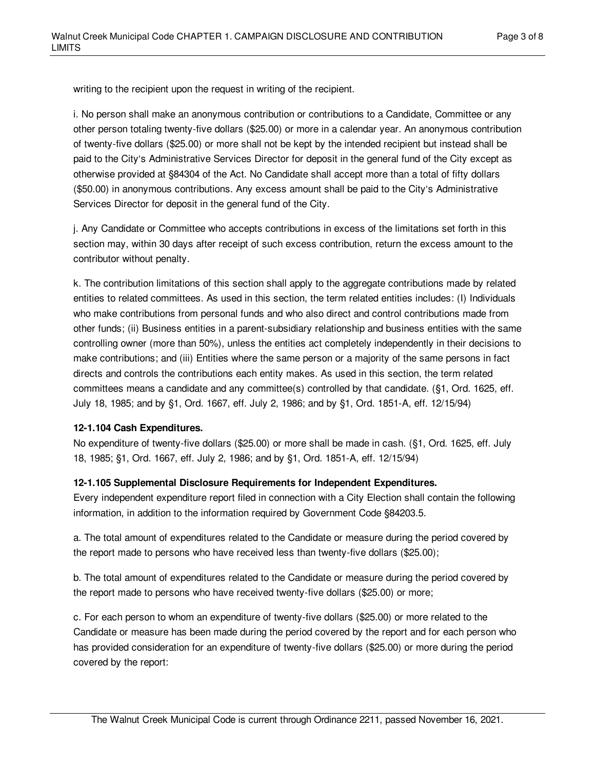writing to the recipient upon the request in writing of the recipient.

i. No person shall make an anonymous contribution or contributions to a Candidate, Committee or any other person totaling twenty-five dollars (\$25.00) or more in a calendar year. An anonymous contribution of twenty-five dollars (\$25.00) or more shall not be kept by the intended recipient but instead shall be paid to the City's Administrative Services Director for deposit in the general fund of the City except as otherwise provided at §84304 of the Act. No Candidate shall accept more than a total of fifty dollars (\$50.00) in anonymous contributions. Any excess amount shall be paid to the City's Administrative Services Director for deposit in the general fund of the City.

j. Any Candidate or Committee who accepts contributions in excess of the limitations set forth in this section may, within 30 days after receipt of such excess contribution, return the excess amount to the contributor without penalty.

k. The contribution limitations of this section shall apply to the aggregate contributions made by related entities to related committees. As used in this section, the term related entities includes: (I) Individuals who make contributions from personal funds and who also direct and control contributions made from other funds; (ii) Business entities in a parent-subsidiary relationship and business entities with the same controlling owner (more than 50%), unless the entities act completely independently in their decisions to make contributions; and (iii) Entities where the same person or a majority of the same persons in fact directs and controls the contributions each entity makes. As used in this section, the term related committees means a candidate and any committee(s) controlled by that candidate. (§1, Ord. 1625, eff. July 18, 1985; and by §1, Ord. 1667, eff. July 2, 1986; and by §1, Ord. 1851-A, eff. 12/15/94)

#### **12-1.104 Cash Expenditures.**

No expenditure of twenty-five dollars (\$25.00) or more shall be made in cash. (§1, Ord. 1625, eff. July 18, 1985; §1, Ord. 1667, eff. July 2, 1986; and by §1, Ord. 1851-A, eff. 12/15/94)

## <span id="page-2-0"></span>**12-1.105 Supplemental Disclosure Requirements for Independent Expenditures.**

Every independent expenditure report filed in connection with a City Election shall contain the following information, in addition to the information required by Government Code §84203.5.

a. The total amount of expenditures related to the Candidate or measure during the period covered by the report made to persons who have received less than twenty-five dollars (\$25.00);

b. The total amount of expenditures related to the Candidate or measure during the period covered by the report made to persons who have received twenty-five dollars (\$25.00) or more;

c. For each person to whom an expenditure of twenty-five dollars (\$25.00) or more related to the Candidate or measure has been made during the period covered by the report and for each person who has provided consideration for an expenditure of twenty-five dollars (\$25.00) or more during the period covered by the report: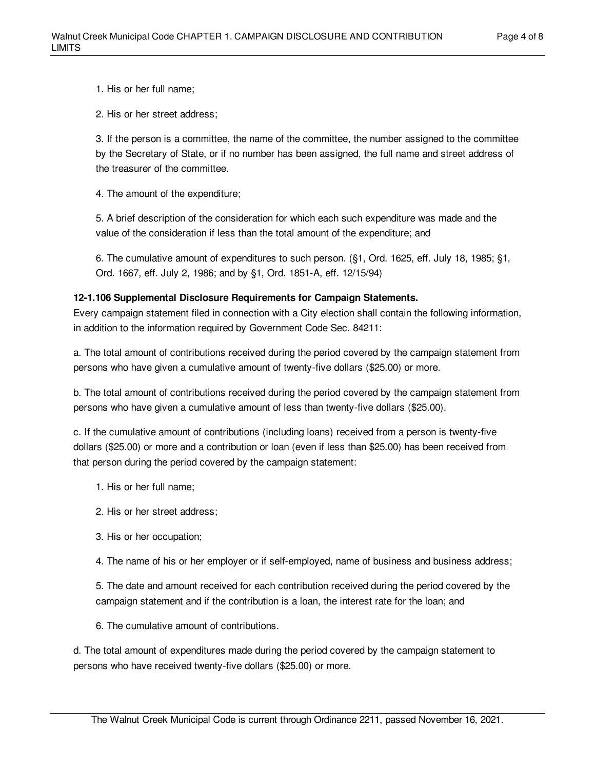1. His or her full name;

2. His or her street address;

3. If the person is a committee, the name of the committee, the number assigned to the committee by the Secretary of State, or if no number has been assigned, the full name and street address of the treasurer of the committee.

4. The amount of the expenditure;

5. A brief description of the consideration for which each such expenditure was made and the value of the consideration if less than the total amount of the expenditure; and

6. The cumulative amount of expenditures to such person. (§1, Ord. 1625, eff. July 18, 1985; §1, Ord. 1667, eff. July 2, 1986; and by §1, Ord. 1851-A, eff. 12/15/94)

## **12-1.106 Supplemental Disclosure Requirements for Campaign Statements.**

Every campaign statement filed in connection with a City election shall contain the following information, in addition to the information required by Government Code Sec. 84211:

a. The total amount of contributions received during the period covered by the campaign statement from persons who have given a cumulative amount of twenty-five dollars (\$25.00) or more.

b. The total amount of contributions received during the period covered by the campaign statement from persons who have given a cumulative amount of less than twenty-five dollars (\$25.00).

c. If the cumulative amount of contributions (including loans) received from a person is twenty-five dollars (\$25.00) or more and a contribution or loan (even if less than \$25.00) has been received from that person during the period covered by the campaign statement:

- 1. His or her full name;
- 2. His or her street address;
- 3. His or her occupation;

4. The name of his or her employer or if self-employed, name of business and business address;

5. The date and amount received for each contribution received during the period covered by the campaign statement and if the contribution is a loan, the interest rate for the loan; and

6. The cumulative amount of contributions.

d. The total amount of expenditures made during the period covered by the campaign statement to persons who have received twenty-five dollars (\$25.00) or more.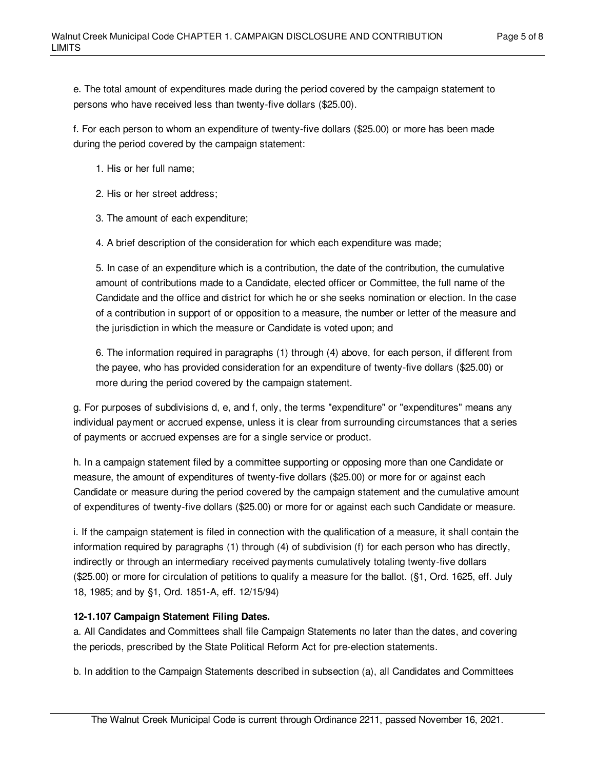e. The total amount of expenditures made during the period covered by the campaign statement to persons who have received less than twenty-five dollars (\$25.00).

f. For each person to whom an expenditure of twenty-five dollars (\$25.00) or more has been made during the period covered by the campaign statement:

- 1. His or her full name;
- 2. His or her street address;
- 3. The amount of each expenditure;

4. A brief description of the consideration for which each expenditure was made;

5. In case of an expenditure which is a contribution, the date of the contribution, the cumulative amount of contributions made to a Candidate, elected officer or Committee, the full name of the Candidate and the office and district for which he or she seeks nomination or election. In the case of a contribution in support of or opposition to a measure, the number or letter of the measure and the jurisdiction in which the measure or Candidate is voted upon; and

6. The information required in paragraphs (1) through (4) above, for each person, if different from the payee, who has provided consideration for an expenditure of twenty-five dollars (\$25.00) or more during the period covered by the campaign statement.

g. For purposes of subdivisions d, e, and f, only, the terms "expenditure" or "expenditures" means any individual payment or accrued expense, unless it is clear from surrounding circumstances that a series of payments or accrued expenses are for a single service or product.

h. In a campaign statement filed by a committee supporting or opposing more than one Candidate or measure, the amount of expenditures of twenty-five dollars (\$25.00) or more for or against each Candidate or measure during the period covered by the campaign statement and the cumulative amount of expenditures of twenty-five dollars (\$25.00) or more for or against each such Candidate or measure.

i. If the campaign statement is filed in connection with the qualification of a measure, it shall contain the information required by paragraphs (1) through (4) of subdivision (f) for each person who has directly, indirectly or through an intermediary received payments cumulatively totaling twenty-five dollars (\$25.00) or more for circulation of petitions to qualify a measure for the ballot. (§1, Ord. 1625, eff. July 18, 1985; and by §1, Ord. 1851-A, eff. 12/15/94)

# <span id="page-4-0"></span>**12-1.107 Campaign Statement Filing Dates.**

a. All Candidates and Committees shall file Campaign Statements no later than the dates, and covering the periods, prescribed by the State Political Reform Act for pre-election statements.

b. In addition to the Campaign Statements described in subsection (a), all Candidates and Committees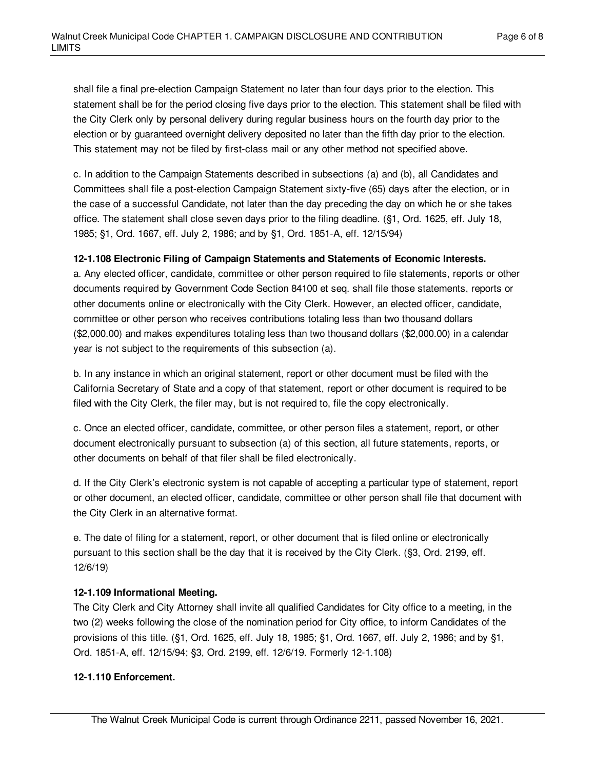shall file a final pre-election Campaign Statement no later than four days prior to the election. This statement shall be for the period closing five days prior to the election. This statement shall be filed with the City Clerk only by personal delivery during regular business hours on the fourth day prior to the election or by guaranteed overnight delivery deposited no later than the fifth day prior to the election. This statement may not be filed by first-class mail or any other method not specified above.

c. In addition to the Campaign Statements described in subsections (a) and (b), all Candidates and Committees shall file a post-election Campaign Statement sixty-five (65) days after the election, or in the case of a successful Candidate, not later than the day preceding the day on which he or she takes office. The statement shall close seven days prior to the filing deadline. (§1, Ord. 1625, eff. July 18, 1985; §1, Ord. 1667, eff. July 2, 1986; and by §1, Ord. 1851-A, eff. 12/15/94)

## **12-1.108 Electronic Filing of Campaign Statements and Statements of Economic Interests.**

a. Any elected officer, candidate, committee or other person required to file statements, reports or other documents required by Government Code Section 84100 et seq. shall file those statements, reports or other documents online or electronically with the City Clerk. However, an elected officer, candidate, committee or other person who receives contributions totaling less than two thousand dollars (\$2,000.00) and makes expenditures totaling less than two thousand dollars (\$2,000.00) in a calendar year is not subject to the requirements of this subsection (a).

b. In any instance in which an original statement, report or other document must be filed with the California Secretary of State and a copy of that statement, report or other document is required to be filed with the City Clerk, the filer may, but is not required to, file the copy electronically.

c. Once an elected officer, candidate, committee, or other person files a statement, report, or other document electronically pursuant to subsection (a) of this section, all future statements, reports, or other documents on behalf of that filer shall be filed electronically.

d. If the City Clerk's electronic system is not capable of accepting a particular type of statement, report or other document, an elected officer, candidate, committee or other person shall file that document with the City Clerk in an alternative format.

e. The date of filing for a statement, report, or other document that is filed online or electronically pursuant to this section shall be the day that it is received by the City Clerk. (§3, Ord. 2199, eff. 12/6/19)

## **12-1.109 Informational Meeting.**

The City Clerk and City Attorney shall invite all qualified Candidates for City office to a meeting, in the two (2) weeks following the close of the nomination period for City office, to inform Candidates of the provisions of this title. (§1, Ord. 1625, eff. July 18, 1985; §1, Ord. 1667, eff. July 2, 1986; and by §1, Ord. 1851-A, eff. 12/15/94; §3, Ord. 2199, eff. 12/6/19. Formerly 12-1.108)

## **12-1.110 Enforcement.**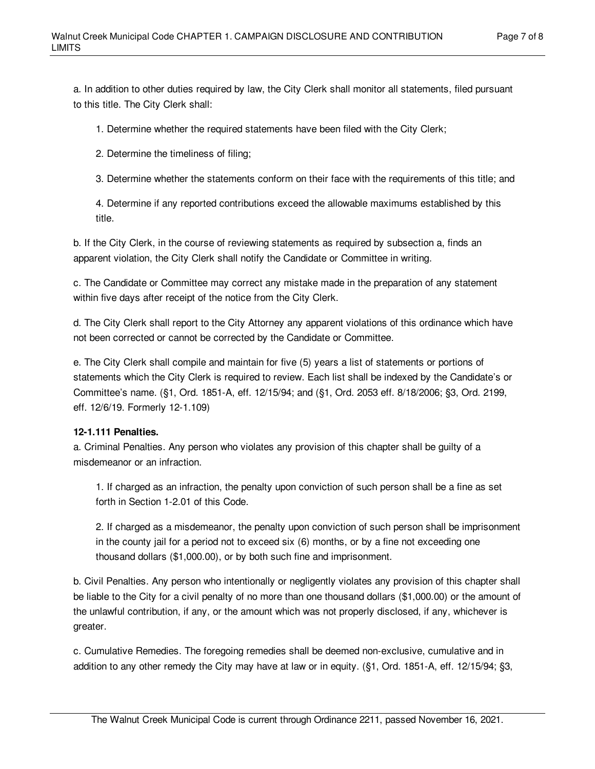a. In addition to other duties required by law, the City Clerk shall monitor all statements, filed pursuant to this title. The City Clerk shall:

1. Determine whether the required statements have been filed with the City Clerk;

2. Determine the timeliness of filing;

3. Determine whether the statements conform on their face with the requirements of this title; and

4. Determine if any reported contributions exceed the allowable maximums established by this title.

b. If the City Clerk, in the course of reviewing statements as required by subsection a, finds an apparent violation, the City Clerk shall notify the Candidate or Committee in writing.

c. The Candidate or Committee may correct any mistake made in the preparation of any statement within five days after receipt of the notice from the City Clerk.

d. The City Clerk shall report to the City Attorney any apparent violations of this ordinance which have not been corrected or cannot be corrected by the Candidate or Committee.

e. The City Clerk shall compile and maintain for five (5) years a list of statements or portions of statements which the City Clerk is required to review. Each list shall be indexed by the Candidate's or Committee's name. (§1, Ord. 1851-A, eff. 12/15/94; and (§1, Ord. 2053 eff. 8/18/2006; §3, Ord. 2199, eff. 12/6/19. Formerly 12-1.109)

#### **12-1.111 Penalties.**

a. Criminal Penalties. Any person who violates any provision of this chapter shall be guilty of a misdemeanor or an infraction.

1. If charged as an infraction, the penalty upon conviction of such person shall be a fine as set forth in Section 1-2.01 of this Code.

2. If charged as a misdemeanor, the penalty upon conviction of such person shall be imprisonment in the county jail for a period not to exceed six (6) months, or by a fine not exceeding one thousand dollars (\$1,000.00), or by both such fine and imprisonment.

b. Civil Penalties. Any person who intentionally or negligently violates any provision of this chapter shall be liable to the City for a civil penalty of no more than one thousand dollars (\$1,000.00) or the amount of the unlawful contribution, if any, or the amount which was not properly disclosed, if any, whichever is greater.

c. Cumulative Remedies. The foregoing remedies shall be deemed non-exclusive, cumulative and in addition to any other remedy the City may have at law or in equity. (§1, Ord. 1851-A, eff. 12/15/94; §3,